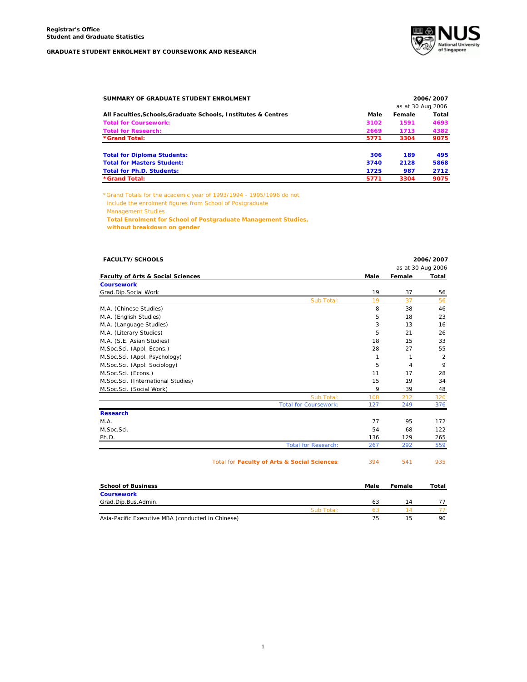

| SUMMARY OF GRADUATE STUDENT ENROLMENT                          |      |                   | 2006/2007 |
|----------------------------------------------------------------|------|-------------------|-----------|
|                                                                |      | as at 30 Aug 2006 |           |
| All Faculties, Schools, Graduate Schools, Institutes & Centres | Male | Female            | Total     |
| <b>Total for Coursework:</b>                                   | 3102 | 1591              | 4693      |
| <b>Total for Research:</b>                                     | 2669 | 1713              | 4382      |
| *Grand Total:                                                  | 5771 | 3304              | 9075      |
| <b>Total for Diploma Students:</b>                             | 306  | 189               | 495       |
| <b>Total for Masters Student:</b>                              | 3740 | 2128              | 5868      |
| <b>Total for Ph.D. Students:</b>                               | 1725 | 987               | 2712      |
| *Grand Total:                                                  | 5771 | 3304              | 9075      |

*\*Grand Totals for the academic year of 1993/1994 - 1995/1996 do not include the enrolment figures from School of Postgraduate Management Studies*  **Total Enrolment for School of Postgraduate Management Studies,**

 **without breakdown on gender**

| FACULTY/SCHOOLS                              |                                              |              |        | 2006/2007         |
|----------------------------------------------|----------------------------------------------|--------------|--------|-------------------|
|                                              |                                              |              |        | as at 30 Aug 2006 |
| <b>Faculty of Arts &amp; Social Sciences</b> |                                              | Male         | Female | Total             |
| <b>Coursework</b>                            |                                              |              |        |                   |
| Grad.Dip.Social Work                         |                                              | 19           | 37     | 56                |
|                                              | Sub Total:                                   | 19           | 37     | 56                |
| M.A. (Chinese Studies)                       |                                              | 8            | 38     | 46                |
| M.A. (English Studies)                       |                                              | 5            | 18     | 23                |
| M.A. (Language Studies)                      |                                              | 3            | 13     | 16                |
| M.A. (Literary Studies)                      |                                              | 5            | 21     | 26                |
| M.A. (S.E. Asian Studies)                    |                                              | 18           | 15     | 33                |
| M.Soc.Sci. (Appl. Econs.)                    |                                              | 28           | 27     | 55                |
| M.Soc.Sci. (Appl. Psychology)                |                                              | $\mathbf{1}$ | 1      | $\overline{2}$    |
| M.Soc.Sci. (Appl. Sociology)                 |                                              | 5            | 4      | 9                 |
| M.Soc.Sci. (Econs.)                          |                                              | 11           | 17     | 28                |
| M.Soc.Sci. (International Studies)           |                                              | 15           | 19     | 34                |
| M.Soc.Sci. (Social Work)                     |                                              | 9            | 39     | 48                |
|                                              | Sub Total:                                   | 108          | 212    | 320               |
|                                              | <b>Total for Coursework:</b>                 | 127          | 249    | 376               |
| <b>Research</b>                              |                                              |              |        |                   |
| M.A.                                         |                                              | 77           | 95     | 172               |
| M.Soc.Sci.                                   |                                              | 54           | 68     | 122               |
| Ph.D.                                        |                                              | 136          | 129    | 265               |
|                                              | <b>Total for Research:</b>                   | 267          | 292    | 559               |
|                                              | Total for Faculty of Arts & Social Sciences: | 394          | 541    | 935               |
| <b>School of Business</b>                    |                                              | Male         | Female | Total             |
| <b>Coursework</b>                            |                                              |              |        |                   |
| Grad.Dip.Bus.Admin.                          |                                              | 63           | 14     | 77                |

Sub Total: 63 14 77

Asia-Pacific Executive MBA (conducted in Chinese) **75** 15 90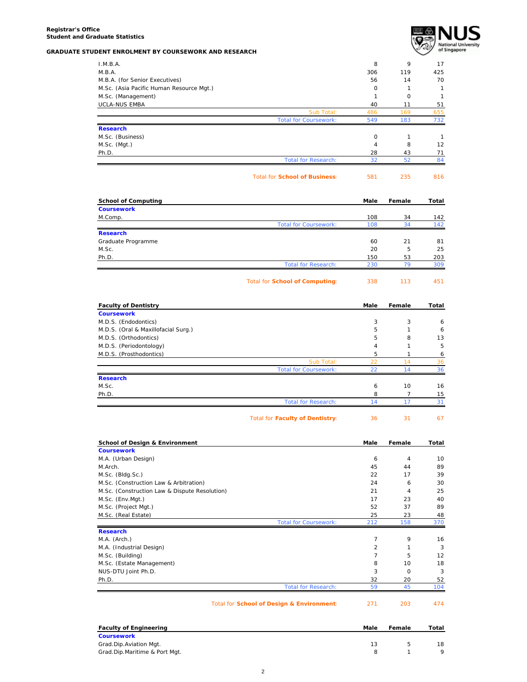

| I.M.B.A.                                                       |                                       | 8                   | 9            |       |
|----------------------------------------------------------------|---------------------------------------|---------------------|--------------|-------|
| M.B.A.                                                         |                                       | 306                 | 119          |       |
| M.B.A. (for Senior Executives)                                 |                                       | 56                  | 14           |       |
| M.Sc. (Asia Pacific Human Resource Mgt.)                       |                                       | 0                   | $\mathbf{1}$ |       |
| M.Sc. (Management)                                             |                                       | $\mathbf{1}$        | $\mathbf 0$  |       |
| UCLA-NUS EMBA                                                  |                                       | 40                  | 11           |       |
|                                                                | Sub Total:                            | 486                 | 169          |       |
|                                                                | <b>Total for Coursework:</b>          | 549                 | 183          |       |
| <b>Research</b>                                                |                                       |                     |              |       |
| M.Sc. (Business)                                               |                                       | 0<br>$\overline{4}$ | 1<br>8       |       |
| M.Sc. (Mgt.)<br>Ph.D.                                          |                                       | 28                  | 43           |       |
|                                                                | <b>Total for Research:</b>            | 32                  | 52           |       |
|                                                                | <b>Total for School of Business:</b>  | 581                 | 235          |       |
|                                                                |                                       |                     |              |       |
| <b>School of Computing</b><br><b>Coursework</b>                |                                       | Male                | Female       | Total |
|                                                                |                                       |                     |              |       |
| M.Comp.                                                        | <b>Total for Coursework:</b>          | 108<br>108          | 34<br>34     |       |
| <b>Research</b>                                                |                                       |                     |              |       |
| Graduate Programme                                             |                                       | 60                  | 21           |       |
| M.Sc.                                                          |                                       | 20                  | 5            |       |
| Ph.D.                                                          |                                       | 150                 | 53           |       |
|                                                                | <b>Total for Research:</b>            | 230                 | 79           |       |
|                                                                | <b>Total for School of Computing:</b> | 338                 | 113          |       |
| <b>Faculty of Dentistry</b>                                    |                                       | Male                | Female       | Total |
| <b>Coursework</b>                                              |                                       |                     |              |       |
| M.D.S. (Endodontics)                                           |                                       | 3                   | 3            |       |
| M.D.S. (Oral & Maxillofacial Surg.)                            |                                       | 5                   | $\mathbf{1}$ |       |
| M.D.S. (Orthodontics)                                          |                                       | 5                   | 8            |       |
| M.D.S. (Periodontology)                                        |                                       | $\overline{4}$      | $\mathbf{1}$ |       |
| M.D.S. (Prosthodontics)                                        |                                       | 5                   | $\mathbf{1}$ |       |
|                                                                | Sub Total:                            | 22                  | 14           |       |
| <b>Research</b>                                                | <b>Total for Coursework:</b>          | 22                  | 14           |       |
| M.Sc.                                                          |                                       | 6                   | 10           |       |
| Ph.D.                                                          |                                       | 8                   | 7            |       |
|                                                                | <b>Total for Research:</b>            | 14                  | 17           |       |
|                                                                | Total for Faculty of Dentistry:       | 36                  | 31           |       |
|                                                                |                                       |                     |              |       |
| <b>School of Design &amp; Environment</b><br><b>Coursework</b> |                                       | Male                | Female       | Total |
| M.A. (Urban Design)                                            |                                       | 6                   | 4            |       |
| M.Arch.                                                        |                                       | 45                  | 44           |       |
| M.Sc. (Bldg.Sc.)                                               |                                       | 22                  | 17           |       |
| M.Sc. (Construction Law & Arbitration)                         |                                       | 24                  | 6            |       |
| M.Sc. (Construction Law & Dispute Resolution)                  |                                       | 21                  | 4            |       |
| M.Sc. (Env.Mgt.)                                               |                                       | 17                  | 23           |       |
| M.Sc. (Project Mgt.)                                           |                                       | 52                  | 37           |       |
| M.Sc. (Real Estate)                                            |                                       | 25                  | 23           |       |
| <b>Research</b>                                                | <b>Total for Coursework:</b>          | 212                 | 158          |       |
| M.A. (Arch.)                                                   |                                       | $\overline{7}$      | 9            |       |
| M.A. (Industrial Design)                                       |                                       | $\overline{2}$      | $\mathbf{1}$ |       |
| M.Sc. (Building)                                               |                                       | $\overline{7}$      | 5            |       |
| M.Sc. (Estate Management)                                      |                                       | 8                   | 10           |       |
| NUS-DTU Joint Ph.D.                                            |                                       | 3                   | $\mathsf O$  |       |
|                                                                |                                       | 32                  | 20           |       |
|                                                                |                                       |                     |              |       |
| Ph.D.                                                          | <b>Total for Research:</b>            | 59                  | 45           |       |

| Male | Female | Total |
|------|--------|-------|
|      |        |       |
| 13   |        | 18    |
|      |        |       |
|      |        |       |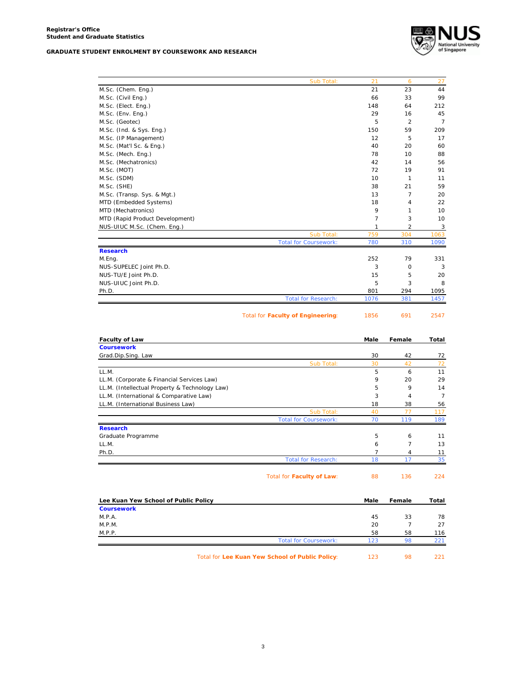

|                                                | Sub Total:                               | 21          | 6              | 27             |
|------------------------------------------------|------------------------------------------|-------------|----------------|----------------|
| M.Sc. (Chem. Eng.)                             |                                          | 21          | 23             | 44             |
| M.Sc. (Civil Eng.)                             |                                          | 66          | 33             | 99             |
| M.Sc. (Elect. Eng.)                            |                                          | 148         | 64             | 212            |
| M.Sc. (Env. Eng.)                              |                                          | 29          | 16             | 45             |
| M.Sc. (Geotec)                                 |                                          | 5           | $\overline{2}$ | $\overline{7}$ |
| M.Sc. (Ind. & Sys. Eng.)                       |                                          | 150         | 59             | 209            |
| M.Sc. (IP Management)                          |                                          | 12          | 5              | 17             |
| M.Sc. (Mat'l Sc. & Eng.)                       |                                          | 40          | 20             | 60             |
| M.Sc. (Mech. Eng.)                             |                                          | 78          | 10             | 88             |
| M.Sc. (Mechatronics)                           |                                          | 42          | 14             | 56             |
| M.Sc. (MOT)                                    |                                          | 72          | 19             | 91             |
| M.Sc. (SDM)                                    |                                          | 10          | 1              | 11             |
| M.Sc. (SHE)                                    |                                          | 38          | 21             | 59             |
| M.Sc. (Transp. Sys. & Mgt.)                    |                                          | 13          | 7              | 20             |
| MTD (Embedded Systems)                         |                                          | 18          | 4              | 22             |
| MTD (Mechatronics)                             |                                          | 9           | 1              | 10             |
| MTD (Rapid Product Development)                |                                          | 7           | 3              | 10             |
| NUS-UIUC M.Sc. (Chem. Eng.)                    |                                          | 1           | 2              | 3              |
|                                                | Sub Total:                               | 759         | 304            | 1063           |
|                                                | <b>Total for Coursework:</b>             | 780         | 310            | 1090           |
| <b>Research</b>                                |                                          |             |                |                |
| M.Eng.                                         |                                          | 252         | 79             | 331            |
| NUS-SUPELEC Joint Ph.D.                        |                                          | 3           | 0              | 3              |
| NUS-TU/E Joint Ph.D.                           |                                          | 15          | 5              | 20             |
| NUS-UIUC Joint Ph.D.                           |                                          | 5           | 3              | 8              |
| Ph.D.                                          | <b>Total for Research:</b>               | 801<br>1076 | 294<br>381     | 1095<br>1457   |
|                                                |                                          |             |                |                |
|                                                |                                          |             |                |                |
|                                                | <b>Total for Faculty of Engineering:</b> | 1856        | 691            | 2547           |
| <b>Faculty of Law</b>                          |                                          | Male        | Female         | Total          |
| <b>Coursework</b>                              |                                          |             |                |                |
| Grad.Dip.Sing. Law                             |                                          | 30          | 42             | 72             |
|                                                | Sub Total:                               | 30          | 42             | 72             |
| LL.M.                                          |                                          | 5           | 6              | 11             |
| LL.M. (Corporate & Financial Services Law)     |                                          | 9           | 20             | 29             |
| LL.M. (Intellectual Property & Technology Law) |                                          | 5           | 9              | 14             |
| LL.M. (International & Comparative Law)        |                                          | 3           | 4              | $\overline{7}$ |
| LL.M. (International Business Law)             |                                          | 18          | 38             | 56             |
|                                                | Sub Total:                               | 40          | 77             | 117            |
|                                                | Total for Coursework:                    | 70          | 119            | 189            |
| <b>Research</b>                                |                                          |             |                |                |
| Graduate Programme                             |                                          | 5           | 6              | 11             |
| LL.M.                                          |                                          | 6           | $\overline{7}$ | 13             |
| Ph.D.                                          |                                          | 7           | 4              | 11             |
|                                                | <b>Total for Research:</b>               | 18          | 17             | 35             |
|                                                | Total for Faculty of Law:                | 88          | 136            | 224            |
| Lee Kuan Yew School of Public Policy           |                                          | Male        | Female         | Total          |
| <b>Coursework</b>                              |                                          |             |                |                |
| M.P.A.                                         |                                          | 45          | 33             | 78             |
| M.P.M.                                         |                                          | 20          | $\overline{7}$ | 27             |
| M.P.P.                                         | <b>Total for Coursework:</b>             | 58<br>123   | 58<br>98       | 116<br>221     |

Total for Lee Kuan Yew School of Public Policy: 123 98 221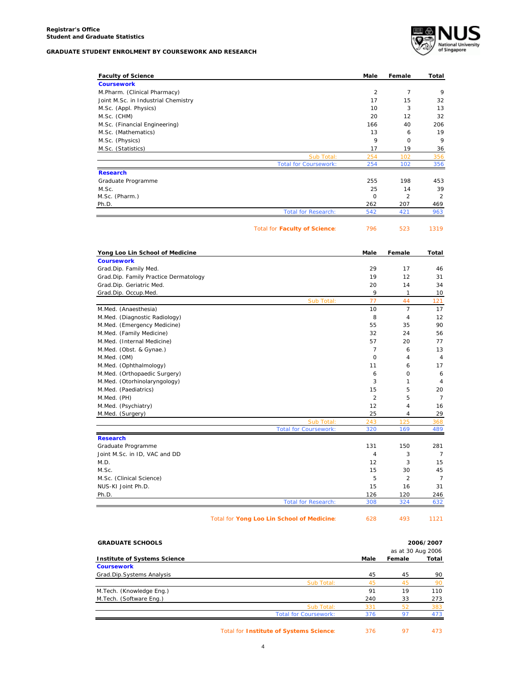

| <b>Faculty of Science</b>             |                                      | Male           | Female         | Total          |
|---------------------------------------|--------------------------------------|----------------|----------------|----------------|
| <b>Coursework</b>                     |                                      |                |                |                |
| M.Pharm. (Clinical Pharmacy)          |                                      | 2              | $\overline{7}$ | 9              |
| Joint M.Sc. in Industrial Chemistry   |                                      | 17             | 15             | 32             |
| M.Sc. (Appl. Physics)                 |                                      | 10             | 3              | 13             |
| M.Sc. (CHM)                           |                                      | 20             | 12             | 32             |
| M.Sc. (Financial Engineering)         |                                      | 166            | 40             | 206            |
| M.Sc. (Mathematics)                   |                                      | 13             | 6              | 19             |
| M.Sc. (Physics)                       |                                      | 9              | $\mathbf 0$    | 9              |
| M.Sc. (Statistics)                    |                                      | 17             | 19             | 36             |
|                                       | Sub Total:                           | 254            | 102            | 356            |
|                                       | <b>Total for Coursework:</b>         | 254            | 102            | 356            |
| <b>Research</b>                       |                                      |                |                |                |
| Graduate Programme                    |                                      | 255            | 198            | 453            |
| M.Sc.                                 |                                      | 25             | 14             | 39             |
| M.Sc. (Pharm.)                        |                                      | $\circ$        | $\overline{2}$ | $\overline{2}$ |
| Ph.D.                                 |                                      | 262            | 207            | 469            |
|                                       | <b>Total for Research:</b>           | 542            | 421            | 963            |
|                                       | <b>Total for Faculty of Science:</b> | 796            | 523            | 1319           |
| Yong Loo Lin School of Medicine       |                                      | Male           | Female         | Total          |
| <b>Coursework</b>                     |                                      |                |                |                |
| Grad.Dip. Family Med.                 |                                      | 29             | 17             | 46             |
| Grad.Dip. Family Practice Dermatology |                                      | 19             | 12             | 31             |
| Grad.Dip. Geriatric Med.              |                                      | 20             | 14             | 34             |
| Grad.Dip. Occup.Med.                  |                                      | 9              | 1              | 10             |
|                                       | Sub Total                            | 77             | 44             | 121            |
| M.Med. (Anaesthesia)                  |                                      | 10             | $\overline{7}$ | 17             |
| M.Med. (Diagnostic Radiology)         |                                      | 8              | 4              | 12             |
| M.Med. (Emergency Medicine)           |                                      | 55             | 35             | 90             |
| M.Med. (Family Medicine)              |                                      | 32             | 24             | 56             |
| M.Med. (Internal Medicine)            |                                      | 57             | 20             | 77             |
| M.Med. (Obst. & Gynae.)               |                                      | $\overline{7}$ | 6              | 13             |
| M.Med. (OM)                           |                                      | $\circ$        | 4              | 4              |
| M.Med. (Ophthalmology)                |                                      | 11             | 6              | 17             |
| M.Med. (Orthopaedic Surgery)          |                                      | 6              | $\mathbf 0$    | 6              |
| M.Med. (Otorhinolaryngology)          |                                      | 3              | 1              | 4              |
| M.Med. (Paediatrics)                  |                                      | 15             | 5              | 20             |
| M.Med. (PH)                           |                                      | $\overline{2}$ | 5              | $\overline{7}$ |
| M.Med. (Psychiatry)                   |                                      | 12             | 4              | 16             |
| M.Med. (Surgery)                      |                                      | 25             | $\overline{4}$ | 29             |
|                                       | Sub Total:                           | 243            | 125            | 368            |
|                                       | <b>Total for Coursework:</b>         | 320            | 169            | 489            |
| <b>Research</b>                       |                                      |                |                |                |
| Graduate Programme                    |                                      | 131            | 150            | 281            |
| Joint M.Sc. in ID, VAC and DD         |                                      | 4              | 3              | 7              |
| M.D.                                  |                                      | 12             | 3              | 15             |
| M.Sc.                                 |                                      | 15             | 30             | 45             |
| M.Sc. (Clinical Science)              |                                      | 5              | $\overline{2}$ | 7              |
| NUS-KI Joint Ph.D.                    |                                      | 15             | 16             | 31             |
| Ph.D.                                 |                                      | 126            | 120            | 246            |
|                                       | <b>Total for Research:</b>           | 308            | 324            | 632            |
|                                       |                                      |                |                |                |

Total for **Yong Loo Lin School of Medicine**: 628 493 1121

| <b>GRADUATE SCHOOLS</b>             |                              |      |                   | 2006/2007 |
|-------------------------------------|------------------------------|------|-------------------|-----------|
|                                     |                              |      | as at 30 Aug 2006 |           |
| <b>Institute of Systems Science</b> |                              | Male | Female            | Total     |
| <b>Coursework</b>                   |                              |      |                   |           |
| Grad.Dip.Systems Analysis           |                              | 45   | 45                | 90        |
|                                     | Sub Total:                   | 45   | 45                | 90        |
| M.Tech. (Knowledge Eng.)            |                              | 91   | 19                | 110       |
| M.Tech. (Software Eng.)             |                              | 240  | 33                | 273       |
|                                     | Sub Total:                   | 331  | 52                | 383       |
|                                     | <b>Total for Coursework:</b> | 376  | 97                | 473       |
|                                     |                              |      |                   |           |

Total for **Institute of Systems Science**: 376 97 473